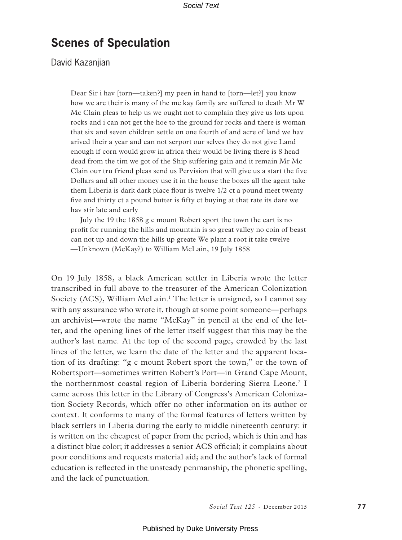## **Scenes of Speculation**

David Kazanjian

Dear Sir i hav [torn—taken?] my peen in hand to [torn—let?] you know how we are their is many of the mc kay family are suffered to death Mr W Mc Clain pleas to help us we ought not to complain they give us lots upon rocks and i can not get the hoe to the ground for rocks and there is woman that six and seven children settle on one fourth of and acre of land we hav arived their a year and can not serport our selves they do not give Land enough if corn would grow in africa their would be living there is 8 head dead from the tim we got of the Ship suffering gain and it remain Mr Mc Clain our tru friend pleas send us Pervision that will give us a start the five Dollars and all other money use it in the house the boxes all the agent take them Liberia is dark dark place flour is twelve 1/2 ct a pound meet twenty five and thirty ct a pound butter is fifty ct buying at that rate its dare we hav stir late and early

July the 19 the 1858 g c mount Robert sport the town the cart is no profit for running the hills and mountain is so great valley no coin of beast can not up and down the hills up greate We plant a root it take twelve —Unknown (McKay?) to William McLain, 19 July 1858

On 19 July 1858, a black American settler in Liberia wrote the letter transcribed in full above to the treasurer of the American Colonization Society (ACS), William McLain.<sup>1</sup> The letter is unsigned, so I cannot say with any assurance who wrote it, though at some point someone—perhaps an archivist—wrote the name "McKay" in pencil at the end of the letter, and the opening lines of the letter itself suggest that this may be the author's last name. At the top of the second page, crowded by the last lines of the letter, we learn the date of the letter and the apparent location of its drafting: "g c mount Robert sport the town," or the town of Robertsport—sometimes written Robert's Port—in Grand Cape Mount, the northernmost coastal region of Liberia bordering Sierra Leone.<sup>2</sup> I came across this letter in the Library of Congress's American Colonization Society Records, which offer no other information on its author or context. It conforms to many of the formal features of letters written by black settlers in Liberia during the early to middle nineteenth century: it is written on the cheapest of paper from the period, which is thin and has a distinct blue color; it addresses a senior ACS official; it complains about poor conditions and requests material aid; and the author's lack of formal education is reflected in the unsteady penmanship, the phonetic spelling, and the lack of punctuation.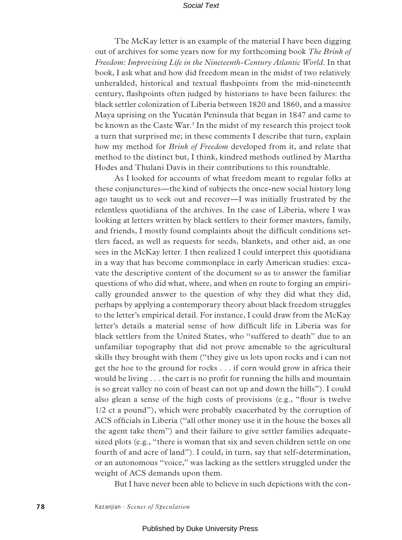The McKay letter is an example of the material I have been digging out of archives for some years now for my forthcoming book *The Brink of Freedom: Improvising Life in the Nineteenth-Century Atlantic World*. In that book, I ask what and how did freedom mean in the midst of two relatively unheralded, historical and textual flashpoints from the mid-nineteenth century, flashpoints often judged by historians to have been failures: the black settler colonization of Liberia between 1820 and 1860, and a massive Maya uprising on the Yucatán Peninsula that began in 1847 and came to be known as the Caste War.<sup>3</sup> In the midst of my research this project took a turn that surprised me; in these comments I describe that turn, explain how my method for *Brink of Freedom* developed from it, and relate that method to the distinct but, I think, kindred methods outlined by Martha Hodes and Thulani Davis in their contributions to this roundtable.

As I looked for accounts of what freedom meant to regular folks at these conjunctures—the kind of subjects the once-new social history long ago taught us to seek out and recover—I was initially frustrated by the relentless quotidiana of the archives. In the case of Liberia, where I was looking at letters written by black settlers to their former masters, family, and friends, I mostly found complaints about the difficult conditions settlers faced, as well as requests for seeds, blankets, and other aid, as one sees in the McKay letter. I then realized I could interpret this quotidiana in a way that has become commonplace in early American studies: excavate the descriptive content of the document so as to answer the familiar questions of who did what, where, and when en route to forging an empirically grounded answer to the question of why they did what they did, perhaps by applying a contemporary theory about black freedom struggles to the letter's empirical detail. For instance, I could draw from the McKay letter's details a material sense of how difficult life in Liberia was for black settlers from the United States, who "suffered to death" due to an unfamiliar topography that did not prove amenable to the agricultural skills they brought with them ("they give us lots upon rocks and i can not get the hoe to the ground for rocks . . . if corn would grow in africa their would be living . . . the cart is no profit for running the hills and mountain is so great valley no coin of beast can not up and down the hills"). I could also glean a sense of the high costs of provisions (e.g., "flour is twelve 1/2 ct a pound"), which were probably exacerbated by the corruption of ACS officials in Liberia ("all other money use it in the house the boxes all the agent take them") and their failure to give settler families adequatesized plots (e.g., "there is woman that six and seven children settle on one fourth of and acre of land"). I could, in turn, say that self-determination, or an autonomous "voice," was lacking as the settlers struggled under the weight of ACS demands upon them.

But I have never been able to believe in such depictions with the con-

**78** Kazanjian · *Scenes of Speculation*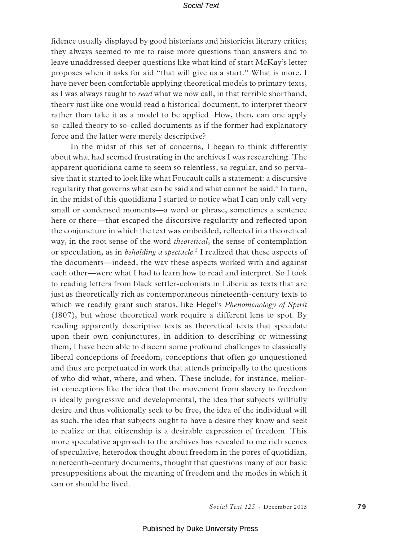fidence usually displayed by good historians and historicist literary critics; they always seemed to me to raise more questions than answers and to leave unaddressed deeper questions like what kind of start McKay's letter proposes when it asks for aid "that will give us a start." What is more, I have never been comfortable applying theoretical models to primary texts, as I was always taught to *read* what we now call, in that terrible shorthand, theory just like one would read a historical document, to interpret theory rather than take it as a model to be applied. How, then, can one apply so-called theory to so-called documents as if the former had explanatory force and the latter were merely descriptive?

In the midst of this set of concerns, I began to think differently about what had seemed frustrating in the archives I was researching. The apparent quotidiana came to seem so relentless, so regular, and so pervasive that it started to look like what Foucault calls a statement: a discursive regularity that governs what can be said and what cannot be said.<sup>4</sup> In turn, in the midst of this quotidiana I started to notice what I can only call very small or condensed moments—a word or phrase, sometimes a sentence here or there—that escaped the discursive regularity and reflected upon the conjuncture in which the text was embedded, reflected in a theoretical way, in the root sense of the word *theoretical*, the sense of contemplation or speculation, as in *beholding a spectacle*. 5 I realized that these aspects of the documents—indeed, the way these aspects worked with and against each other—were what I had to learn how to read and interpret. So I took to reading letters from black settler-colonists in Liberia as texts that are just as theoretically rich as contemporaneous nineteenth-century texts to which we readily grant such status, like Hegel's *Phenomenology of Spirit* (1807), but whose theoretical work require a different lens to spot. By reading apparently descriptive texts as theoretical texts that speculate upon their own conjunctures, in addition to describing or witnessing them, I have been able to discern some profound challenges to classically liberal conceptions of freedom, conceptions that often go unquestioned and thus are perpetuated in work that attends principally to the questions of who did what, where, and when. These include, for instance, meliorist conceptions like the idea that the movement from slavery to freedom is ideally progressive and developmental, the idea that subjects willfully desire and thus volitionally seek to be free, the idea of the individual will as such, the idea that subjects ought to have a desire they know and seek to realize or that citizenship is a desirable expression of freedom. This more speculative approach to the archives has revealed to me rich scenes of speculative, heterodox thought about freedom in the pores of quotidian, nineteenth-century documents, thought that questions many of our basic presuppositions about the meaning of freedom and the modes in which it can or should be lived.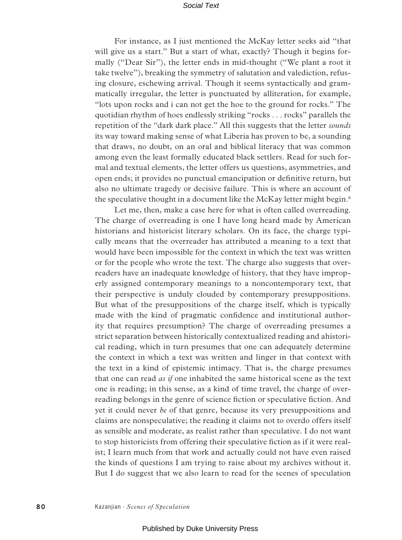For instance, as I just mentioned the McKay letter seeks aid "that will give us a start." But a start of what, exactly? Though it begins formally ("Dear Sir"), the letter ends in mid-thought ("We plant a root it take twelve"), breaking the symmetry of salutation and valediction, refusing closure, eschewing arrival. Though it seems syntactically and grammatically irregular, the letter is punctuated by alliteration, for example, "lots upon rocks and i can not get the hoe to the ground for rocks." The quotidian rhythm of hoes endlessly striking "rocks . . . rocks" parallels the repetition of the "dark dark place." All this suggests that the letter *sounds* its way toward making sense of what Liberia has proven to be, a sounding that draws, no doubt, on an oral and biblical literacy that was common among even the least formally educated black settlers. Read for such formal and textual elements, the letter offers us questions, asymmetries, and open ends; it provides no punctual emancipation or definitive return, but also no ultimate tragedy or decisive failure. This is where an account of the speculative thought in a document like the McKay letter might begin.6

Let me, then, make a case here for what is often called overreading. The charge of overreading is one I have long heard made by American historians and historicist literary scholars. On its face, the charge typically means that the overreader has attributed a meaning to a text that would have been impossible for the context in which the text was written or for the people who wrote the text. The charge also suggests that overreaders have an inadequate knowledge of history, that they have improperly assigned contemporary meanings to a noncontemporary text, that their perspective is unduly clouded by contemporary presuppositions. But what of the presuppositions of the charge itself, which is typically made with the kind of pragmatic confidence and institutional authority that requires presumption? The charge of overreading presumes a strict separation between historically contextualized reading and ahistorical reading, which in turn presumes that one can adequately determine the context in which a text was written and linger in that context with the text in a kind of epistemic intimacy. That is, the charge presumes that one can read *as if* one inhabited the same historical scene as the text one is reading; in this sense, as a kind of time travel, the charge of overreading belongs in the genre of science fiction or speculative fiction. And yet it could never *be* of that genre, because its very presuppositions and claims are nonspeculative; the reading it claims not to overdo offers itself as sensible and moderate, as realist rather than speculative. I do not want to stop historicists from offering their speculative fiction as if it were realist; I learn much from that work and actually could not have even raised the kinds of questions I am trying to raise about my archives without it. But I do suggest that we also learn to read for the scenes of speculation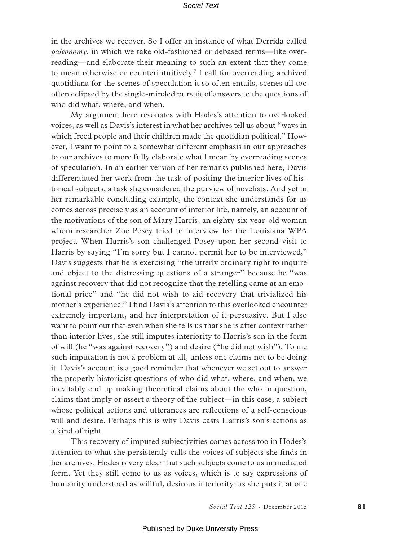in the archives we recover. So I offer an instance of what Derrida called *paleonomy*, in which we take old-fashioned or debased terms—like overreading—and elaborate their meaning to such an extent that they come to mean otherwise or counterintuitively.<sup>7</sup> I call for overreading archived quotidiana for the scenes of speculation it so often entails, scenes all too often eclipsed by the single-minded pursuit of answers to the questions of who did what, where, and when.

My argument here resonates with Hodes's attention to overlooked voices, as well as Davis's interest in what her archives tell us about "ways in which freed people and their children made the quotidian political." However, I want to point to a somewhat different emphasis in our approaches to our archives to more fully elaborate what I mean by overreading scenes of speculation. In an earlier version of her remarks published here, Davis differentiated her work from the task of positing the interior lives of historical subjects, a task she considered the purview of novelists. And yet in her remarkable concluding example, the context she understands for us comes across precisely as an account of interior life, namely, an account of the motivations of the son of Mary Harris, an eighty-six-year-old woman whom researcher Zoe Posey tried to interview for the Louisiana WPA project. When Harris's son challenged Posey upon her second visit to Harris by saying "I'm sorry but I cannot permit her to be interviewed," Davis suggests that he is exercising "the utterly ordinary right to inquire and object to the distressing questions of a stranger" because he "was against recovery that did not recognize that the retelling came at an emotional price" and "he did not wish to aid recovery that trivialized his mother's experience." I find Davis's attention to this overlooked encounter extremely important, and her interpretation of it persuasive. But I also want to point out that even when she tells us that she is after context rather than interior lives, she still imputes interiority to Harris's son in the form of will (he "was against recovery") and desire ("he did not wish"). To me such imputation is not a problem at all, unless one claims not to be doing it. Davis's account is a good reminder that whenever we set out to answer the properly historicist questions of who did what, where, and when, we inevitably end up making theoretical claims about the who in question, claims that imply or assert a theory of the subject—in this case, a subject whose political actions and utterances are reflections of a self-conscious will and desire. Perhaps this is why Davis casts Harris's son's actions as a kind of right.

This recovery of imputed subjectivities comes across too in Hodes's attention to what she persistently calls the voices of subjects she finds in her archives. Hodes is very clear that such subjects come to us in mediated form. Yet they still come to us as voices, which is to say expressions of humanity understood as willful, desirous interiority: as she puts it at one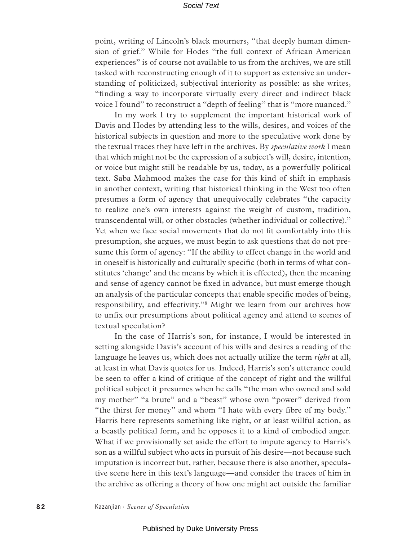point, writing of Lincoln's black mourners, "that deeply human dimension of grief." While for Hodes "the full context of African American experiences" is of course not available to us from the archives, we are still tasked with reconstructing enough of it to support as extensive an understanding of politicized, subjectival interiority as possible: as she writes, "finding a way to incorporate virtually every direct and indirect black voice I found" to reconstruct a "depth of feeling" that is "more nuanced."

In my work I try to supplement the important historical work of Davis and Hodes by attending less to the wills, desires, and voices of the historical subjects in question and more to the speculative work done by the textual traces they have left in the archives. By *speculative work* I mean that which might not be the expression of a subject's will, desire, intention, or voice but might still be readable by us, today, as a powerfully political text. Saba Mahmood makes the case for this kind of shift in emphasis in another context, writing that historical thinking in the West too often presumes a form of agency that unequivocally celebrates "the capacity to realize one's own interests against the weight of custom, tradition, transcendental will, or other obstacles (whether individual or collective)." Yet when we face social movements that do not fit comfortably into this presumption, she argues, we must begin to ask questions that do not presume this form of agency: "If the ability to effect change in the world and in oneself is historically and culturally specific (both in terms of what constitutes 'change' and the means by which it is effected), then the meaning and sense of agency cannot be fixed in advance, but must emerge though an analysis of the particular concepts that enable specific modes of being, responsibility, and effectivity."8 Might we learn from our archives how to unfix our presumptions about political agency and attend to scenes of textual speculation?

In the case of Harris's son, for instance, I would be interested in setting alongside Davis's account of his wills and desires a reading of the language he leaves us, which does not actually utilize the term *right* at all, at least in what Davis quotes for us. Indeed, Harris's son's utterance could be seen to offer a kind of critique of the concept of right and the willful political subject it presumes when he calls "the man who owned and sold my mother" "a brute" and a "beast" whose own "power" derived from "the thirst for money" and whom "I hate with every fibre of my body." Harris here represents something like right, or at least willful action, as a beastly political form, and he opposes it to a kind of embodied anger. What if we provisionally set aside the effort to impute agency to Harris's son as a willful subject who acts in pursuit of his desire—not because such imputation is incorrect but, rather, because there is also another, speculative scene here in this text's language—and consider the traces of him in the archive as offering a theory of how one might act outside the familiar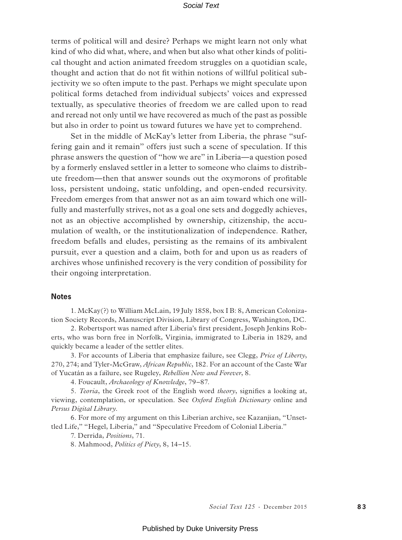## Social Text

terms of political will and desire? Perhaps we might learn not only what kind of who did what, where, and when but also what other kinds of political thought and action animated freedom struggles on a quotidian scale, thought and action that do not fit within notions of willful political subjectivity we so often impute to the past. Perhaps we might speculate upon political forms detached from individual subjects' voices and expressed textually, as speculative theories of freedom we are called upon to read and reread not only until we have recovered as much of the past as possible but also in order to point us toward futures we have yet to comprehend.

Set in the middle of McKay's letter from Liberia, the phrase "suffering gain and it remain" offers just such a scene of speculation. If this phrase answers the question of "how we are" in Liberia—a question posed by a formerly enslaved settler in a letter to someone who claims to distribute freedom—then that answer sounds out the oxymorons of profitable loss, persistent undoing, static unfolding, and open-ended recursivity. Freedom emerges from that answer not as an aim toward which one willfully and masterfully strives, not as a goal one sets and doggedly achieves, not as an objective accomplished by ownership, citizenship, the accumulation of wealth, or the institutionalization of independence. Rather, freedom befalls and eludes, persisting as the remains of its ambivalent pursuit, ever a question and a claim, both for and upon us as readers of archives whose unfinished recovery is the very condition of possibility for their ongoing interpretation.

## **Notes**

1. McKay(?) to William McLain, 19 July 1858, box I B: 8, American Colonization Society Records, Manuscript Division, Library of Congress, Washington, DC.

2. Robertsport was named after Liberia's first president, Joseph Jenkins Roberts, who was born free in Norfolk, Virginia, immigrated to Liberia in 1829, and quickly became a leader of the settler elites.

3. For accounts of Liberia that emphasize failure, see Clegg, *Price of Liberty*, 270, 274; and Tyler-McGraw, *African Republic*, 182. For an account of the Caste War of Yucatán as a failure, see Rugeley, *Rebellion Now and Forever*, 8.

4. Foucault, *Archaeology of Knowledge*, 79–87.

5. *Teoria*, the Greek root of the English word *theory*, signifies a looking at, viewing, contemplation, or speculation. See *Oxford English Dictionary* online and *Persus Digital Library*.

6. For more of my argument on this Liberian archive, see Kazanjian, "Unsettled Life," "Hegel, Liberia," and "Speculative Freedom of Colonial Liberia."

7. Derrida, *Positions*, 71.

8. Mahmood, *Politics of Piety*, 8, 14–15.